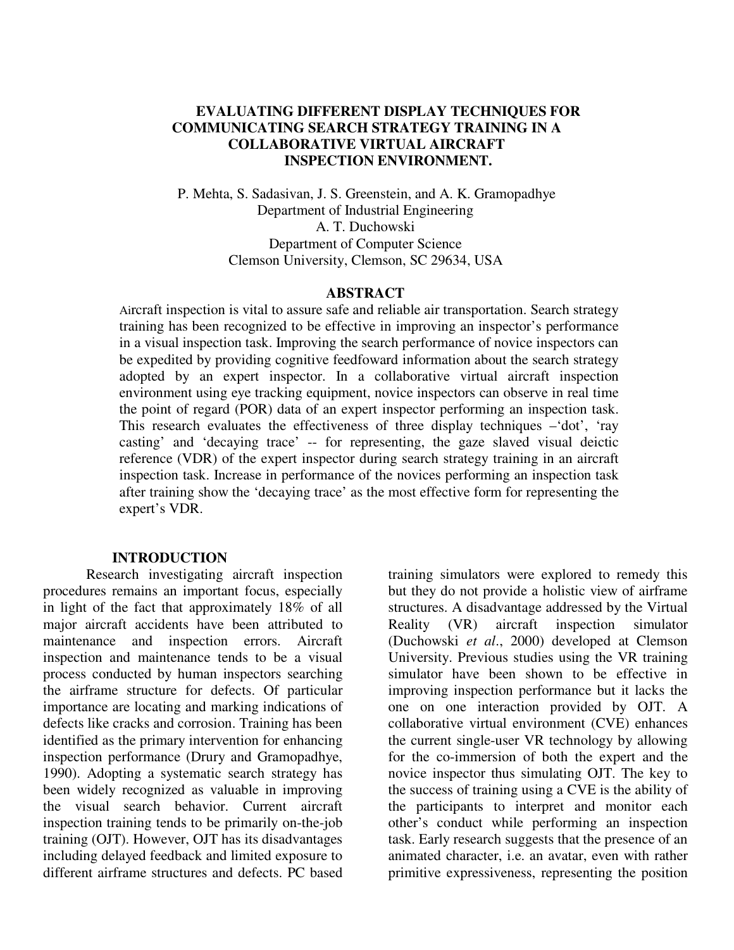# **EVALUATING DIFFERENT DISPLAY TECHNIQUES FOR COMMUNICATING SEARCH STRATEGY TRAINING IN A COLLABORATIVE VIRTUAL AIRCRAFT INSPECTION ENVIRONMENT.**

P. Mehta, S. Sadasivan, J. S. Greenstein, and A. K. Gramopadhye Department of Industrial Engineering A. T. Duchowski Department of Computer Science Clemson University, Clemson, SC 29634, USA

#### **ABSTRACT**

Aircraft inspection is vital to assure safe and reliable air transportation. Search strategy training has been recognized to be effective in improving an inspector's performance in a visual inspection task. Improving the search performance of novice inspectors can be expedited by providing cognitive feedfoward information about the search strategy adopted by an expert inspector. In a collaborative virtual aircraft inspection environment using eye tracking equipment, novice inspectors can observe in real time the point of regard (POR) data of an expert inspector performing an inspection task. This research evaluates the effectiveness of three display techniques –'dot', 'ray casting' and 'decaying trace' -- for representing, the gaze slaved visual deictic reference (VDR) of the expert inspector during search strategy training in an aircraft inspection task. Increase in performance of the novices performing an inspection task after training show the 'decaying trace' as the most effective form for representing the expert's VDR.

#### **INTRODUCTION**

Research investigating aircraft inspection procedures remains an important focus, especially in light of the fact that approximately 18% of all major aircraft accidents have been attributed to maintenance and inspection errors. Aircraft inspection and maintenance tends to be a visual process conducted by human inspectors searching the airframe structure for defects. Of particular importance are locating and marking indications of defects like cracks and corrosion. Training has been identified as the primary intervention for enhancing inspection performance (Drury and Gramopadhye, 1990). Adopting a systematic search strategy has been widely recognized as valuable in improving the visual search behavior. Current aircraft inspection training tends to be primarily on-the-job training (OJT). However, OJT has its disadvantages including delayed feedback and limited exposure to different airframe structures and defects. PC based

training simulators were explored to remedy this but they do not provide a holistic view of airframe structures. A disadvantage addressed by the Virtual Reality (VR) aircraft inspection simulator (Duchowski *et al*., 2000) developed at Clemson University. Previous studies using the VR training simulator have been shown to be effective in improving inspection performance but it lacks the one on one interaction provided by OJT. A collaborative virtual environment (CVE) enhances the current single-user VR technology by allowing for the co-immersion of both the expert and the novice inspector thus simulating OJT. The key to the success of training using a CVE is the ability of the participants to interpret and monitor each other's conduct while performing an inspection task. Early research suggests that the presence of an animated character, i.e. an avatar, even with rather primitive expressiveness, representing the position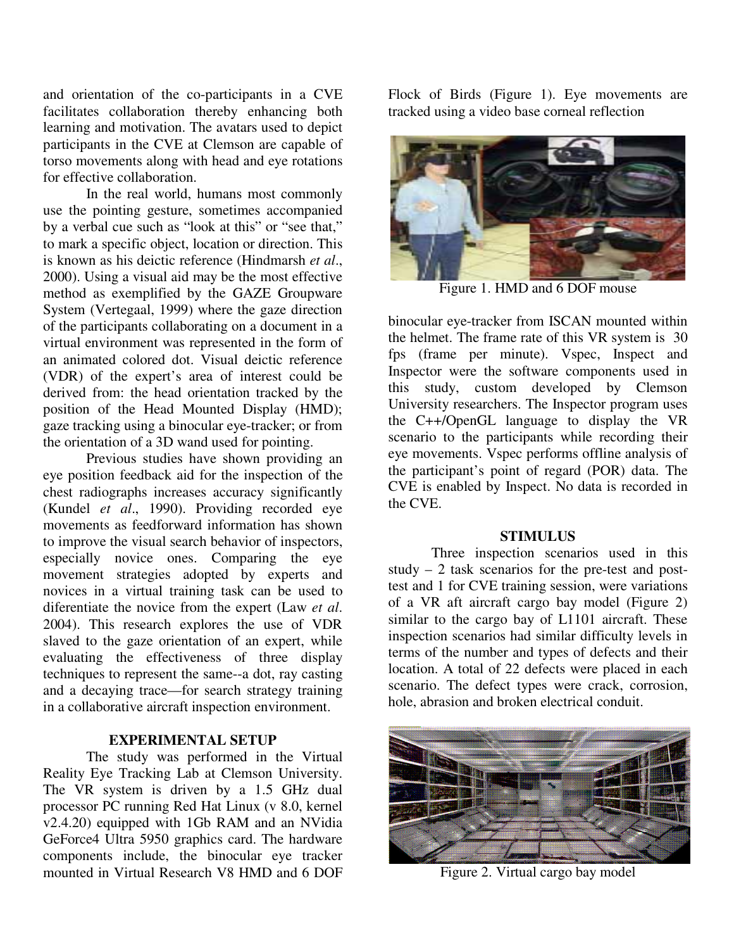and orientation of the co-participants in a CVE facilitates collaboration thereby enhancing both learning and motivation. The avatars used to depict participants in the CVE at Clemson are capable of torso movements along with head and eye rotations for effective collaboration.

In the real world, humans most commonly use the pointing gesture, sometimes accompanied by a verbal cue such as "look at this" or "see that," to mark a specific object, location or direction. This is known as his deictic reference (Hindmarsh *et al*., 2000). Using a visual aid may be the most effective method as exemplified by the GAZE Groupware System (Vertegaal, 1999) where the gaze direction of the participants collaborating on a document in a virtual environment was represented in the form of an animated colored dot. Visual deictic reference (VDR) of the expert's area of interest could be derived from: the head orientation tracked by the position of the Head Mounted Display (HMD); gaze tracking using a binocular eye-tracker; or from the orientation of a 3D wand used for pointing.

Previous studies have shown providing an eye position feedback aid for the inspection of the chest radiographs increases accuracy significantly (Kundel *et al*., 1990). Providing recorded eye movements as feedforward information has shown to improve the visual search behavior of inspectors, especially novice ones. Comparing the eye movement strategies adopted by experts and novices in a virtual training task can be used to diferentiate the novice from the expert (Law *et al*. 2004). This research explores the use of VDR slaved to the gaze orientation of an expert, while evaluating the effectiveness of three display techniques to represent the same--a dot, ray casting and a decaying trace—for search strategy training in a collaborative aircraft inspection environment.

# **EXPERIMENTAL SETUP**

The study was performed in the Virtual Reality Eye Tracking Lab at Clemson University. The VR system is driven by a 1.5 GHz dual processor PC running Red Hat Linux (v 8.0, kernel v2.4.20) equipped with 1Gb RAM and an NVidia GeForce4 Ultra 5950 graphics card. The hardware components include, the binocular eye tracker mounted in Virtual Research V8 HMD and 6 DOF Flock of Birds (Figure 1). Eye movements are tracked using a video base corneal reflection



Figure 1. HMD and 6 DOF mouse

binocular eye-tracker from ISCAN mounted within the helmet. The frame rate of this VR system is 30 fps (frame per minute). Vspec, Inspect and Inspector were the software components used in this study, custom developed by Clemson University researchers. The Inspector program uses the C++/OpenGL language to display the VR scenario to the participants while recording their eye movements. Vspec performs offline analysis of the participant's point of regard (POR) data. The CVE is enabled by Inspect. No data is recorded in the CVE.

## **STIMULUS**

Three inspection scenarios used in this study  $-2$  task scenarios for the pre-test and posttest and 1 for CVE training session, were variations of a VR aft aircraft cargo bay model (Figure 2) similar to the cargo bay of L1101 aircraft. These inspection scenarios had similar difficulty levels in terms of the number and types of defects and their location. A total of 22 defects were placed in each scenario. The defect types were crack, corrosion, hole, abrasion and broken electrical conduit.



Figure 2. Virtual cargo bay model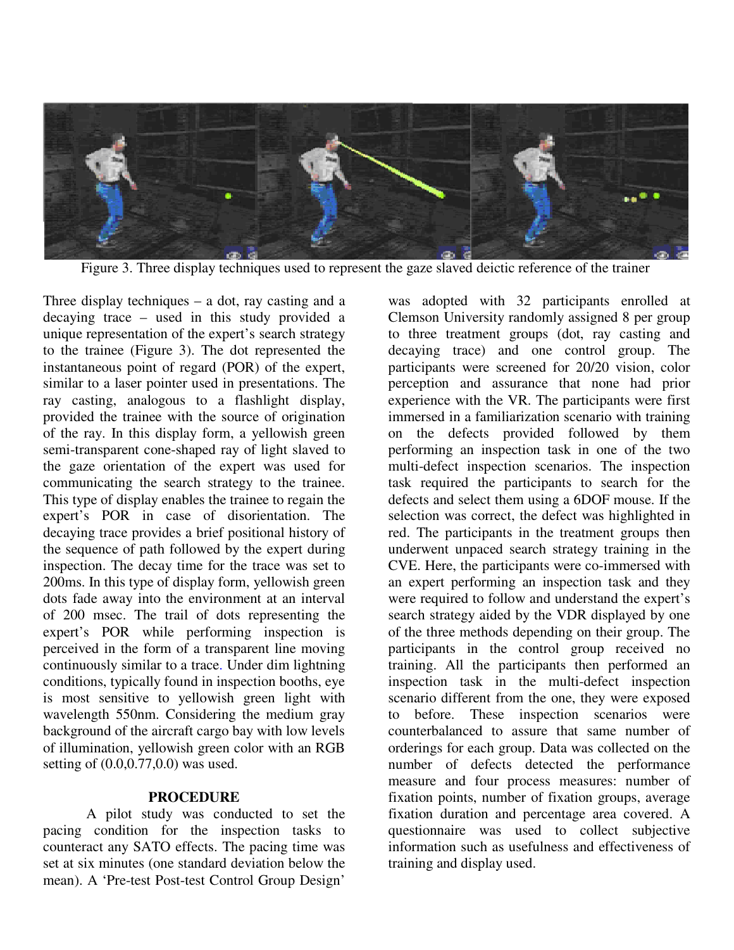

Figure 3. Three display techniques used to represent the gaze slaved deictic reference of the trainer

Three display techniques  $-$  a dot, ray casting and a decaying trace – used in this study provided a unique representation of the expert's search strategy to the trainee (Figure 3). The dot represented the instantaneous point of regard (POR) of the expert, similar to a laser pointer used in presentations. The ray casting, analogous to a flashlight display, provided the trainee with the source of origination of the ray. In this display form, a yellowish green semi-transparent cone-shaped ray of light slaved to the gaze orientation of the expert was used for communicating the search strategy to the trainee. This type of display enables the trainee to regain the expert's POR in case of disorientation. The decaying trace provides a brief positional history of the sequence of path followed by the expert during inspection. The decay time for the trace was set to 200ms. In this type of display form, yellowish green dots fade away into the environment at an interval of 200 msec. The trail of dots representing the expert's POR while performing inspection is perceived in the form of a transparent line moving continuously similar to a trace. Under dim lightning conditions, typically found in inspection booths, eye is most sensitive to yellowish green light with wavelength 550nm. Considering the medium gray background of the aircraft cargo bay with low levels of illumination, yellowish green color with an RGB setting of (0.0,0.77,0.0) was used.

#### **PROCEDURE**

A pilot study was conducted to set the pacing condition for the inspection tasks to counteract any SATO effects. The pacing time was set at six minutes (one standard deviation below the mean). A 'Pre-test Post-test Control Group Design'

was adopted with 32 participants enrolled at Clemson University randomly assigned 8 per group to three treatment groups (dot, ray casting and decaying trace) and one control group. The participants were screened for 20/20 vision, color perception and assurance that none had prior experience with the VR. The participants were first immersed in a familiarization scenario with training on the defects provided followed by them performing an inspection task in one of the two multi-defect inspection scenarios. The inspection task required the participants to search for the defects and select them using a 6DOF mouse. If the selection was correct, the defect was highlighted in red. The participants in the treatment groups then underwent unpaced search strategy training in the CVE. Here, the participants were co-immersed with an expert performing an inspection task and they were required to follow and understand the expert's search strategy aided by the VDR displayed by one of the three methods depending on their group. The participants in the control group received no training. All the participants then performed an inspection task in the multi-defect inspection scenario different from the one, they were exposed to before. These inspection scenarios were counterbalanced to assure that same number of orderings for each group. Data was collected on the number of defects detected the performance measure and four process measures: number of fixation points, number of fixation groups, average fixation duration and percentage area covered. A questionnaire was used to collect subjective information such as usefulness and effectiveness of training and display used.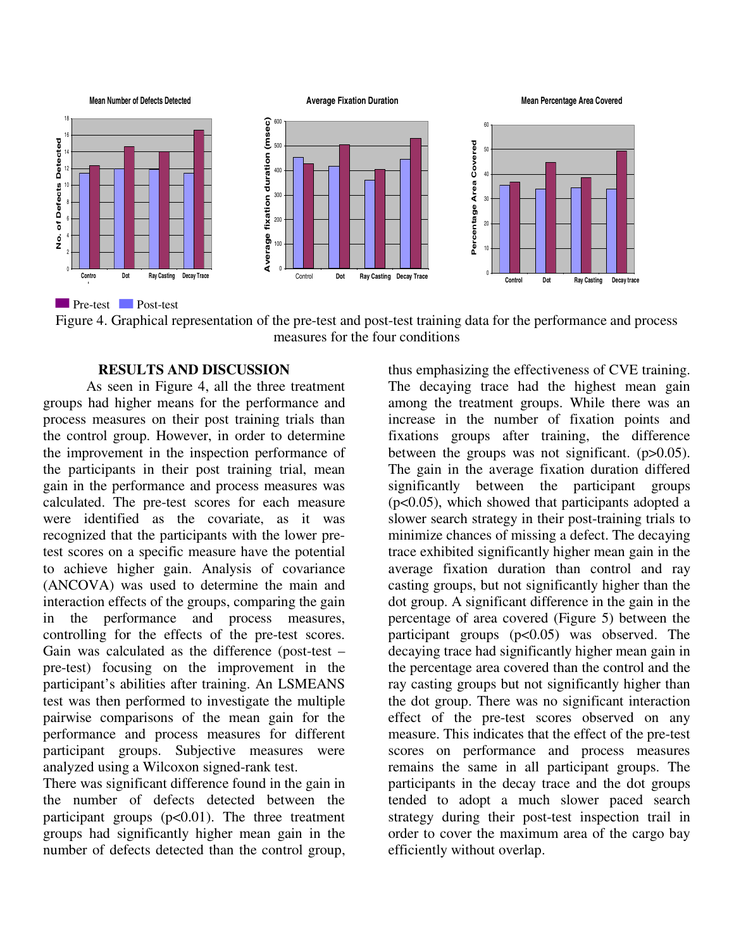

Figure 4. Graphical representation of the pre-test and post-test training data for the performance and process measures for the four conditions

# **RESULTS AND DISCUSSION**

As seen in Figure 4, all the three treatment groups had higher means for the performance and process measures on their post training trials than the control group. However, in order to determine the improvement in the inspection performance of the participants in their post training trial, mean gain in the performance and process measures was calculated. The pre-test scores for each measure were identified as the covariate, as it was recognized that the participants with the lower pretest scores on a specific measure have the potential to achieve higher gain. Analysis of covariance (ANCOVA) was used to determine the main and interaction effects of the groups, comparing the gain in the performance and process measures, controlling for the effects of the pre-test scores. Gain was calculated as the difference (post-test – pre-test) focusing on the improvement in the participant's abilities after training. An LSMEANS test was then performed to investigate the multiple pairwise comparisons of the mean gain for the performance and process measures for different participant groups. Subjective measures were analyzed using a Wilcoxon signed-rank test.

There was significant difference found in the gain in the number of defects detected between the participant groups  $(p<0.01)$ . The three treatment groups had significantly higher mean gain in the number of defects detected than the control group,

thus emphasizing the effectiveness of CVE training. The decaying trace had the highest mean gain among the treatment groups. While there was an increase in the number of fixation points and fixations groups after training, the difference between the groups was not significant.  $(p>0.05)$ . The gain in the average fixation duration differed significantly between the participant groups (p<0.05), which showed that participants adopted a slower search strategy in their post-training trials to minimize chances of missing a defect. The decaying trace exhibited significantly higher mean gain in the average fixation duration than control and ray casting groups, but not significantly higher than the dot group. A significant difference in the gain in the percentage of area covered (Figure 5) between the participant groups  $(p<0.05)$  was observed. The decaying trace had significantly higher mean gain in the percentage area covered than the control and the ray casting groups but not significantly higher than the dot group. There was no significant interaction effect of the pre-test scores observed on any measure. This indicates that the effect of the pre-test scores on performance and process measures remains the same in all participant groups. The participants in the decay trace and the dot groups tended to adopt a much slower paced search strategy during their post-test inspection trail in order to cover the maximum area of the cargo bay efficiently without overlap.